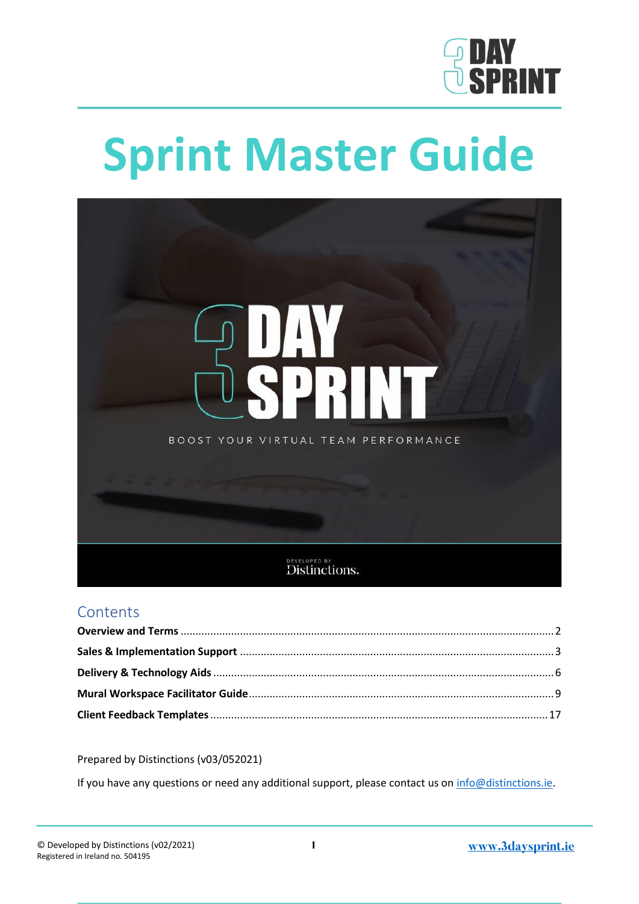

# **Sprint Master Guide**



### **Contents**

Prepared by Distinctions (v03/052021)

If you have any questions or need any additional support, please contact us on [info@distinctions.ie.](mailto:info@distinctions.ie)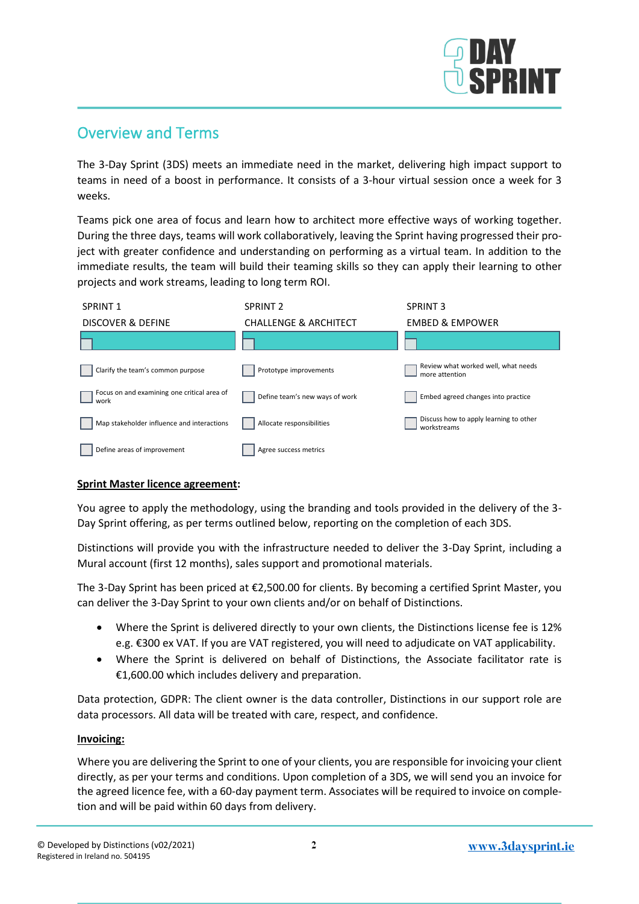

## <span id="page-1-0"></span>Overview and Terms

The 3-Day Sprint (3DS) meets an immediate need in the market, delivering high impact support to teams in need of a boost in performance. It consists of a 3-hour virtual session once a week for 3 weeks.

Teams pick one area of focus and learn how to architect more effective ways of working together. During the three days, teams will work collaboratively, leaving the Sprint having progressed their project with greater confidence and understanding on performing as a virtual team. In addition to the immediate results, the team will build their teaming skills so they can apply their learning to other projects and work streams, leading to long term ROI.



#### **Sprint Master licence agreement:**

You agree to apply the methodology, using the branding and tools provided in the delivery of the 3- Day Sprint offering, as per terms outlined below, reporting on the completion of each 3DS.

Distinctions will provide you with the infrastructure needed to deliver the 3-Day Sprint, including a Mural account (first 12 months), sales support and promotional materials.

The 3-Day Sprint has been priced at €2,500.00 for clients. By becoming a certified Sprint Master, you can deliver the 3-Day Sprint to your own clients and/or on behalf of Distinctions.

- Where the Sprint is delivered directly to your own clients, the Distinctions license fee is 12% e.g. €300 ex VAT. If you are VAT registered, you will need to adjudicate on VAT applicability.
- Where the Sprint is delivered on behalf of Distinctions, the Associate facilitator rate is €1,600.00 which includes delivery and preparation.

Data protection, GDPR: The client owner is the data controller, Distinctions in our support role are data processors. All data will be treated with care, respect, and confidence.

#### **Invoicing:**

Where you are delivering the Sprint to one of your clients, you are responsible for invoicing your client directly, as per your terms and conditions. Upon completion of a 3DS, we will send you an invoice for the agreed licence fee, with a 60-day payment term. Associates will be required to invoice on completion and will be paid within 60 days from delivery.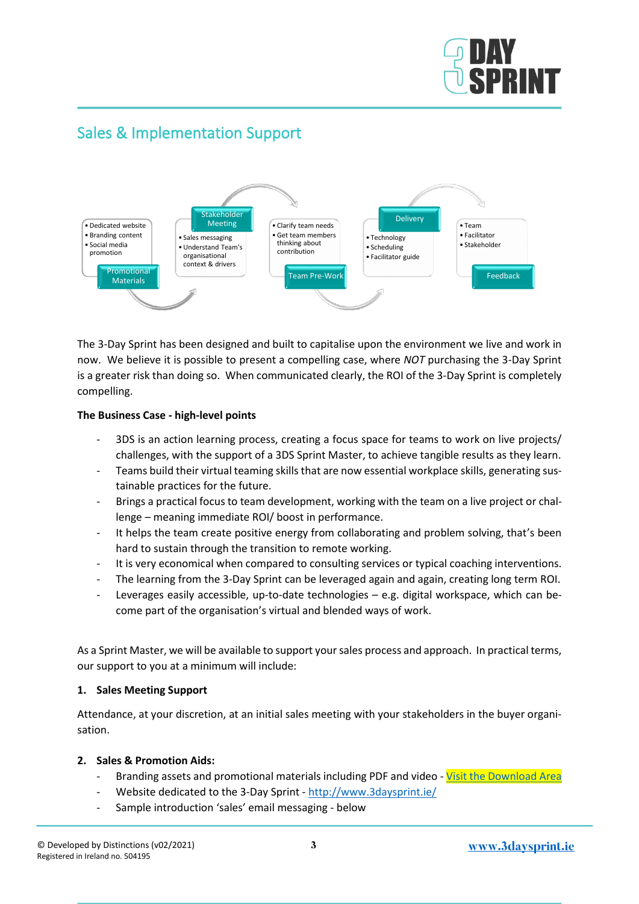

## <span id="page-2-0"></span>Sales & Implementation Support



The 3-Day Sprint has been designed and built to capitalise upon the environment we live and work in now. We believe it is possible to present a compelling case, where *NOT* purchasing the 3-Day Sprint is a greater risk than doing so. When communicated clearly, the ROI of the 3-Day Sprint is completely compelling.

#### **The Business Case - high-level points**

- 3DS is an action learning process, creating a focus space for teams to work on live projects/ challenges, with the support of a 3DS Sprint Master, to achieve tangible results as they learn.
- Teams build their virtual teaming skills that are now essential workplace skills, generating sustainable practices for the future.
- Brings a practical focus to team development, working with the team on a live project or challenge – meaning immediate ROI/ boost in performance.
- It helps the team create positive energy from collaborating and problem solving, that's been hard to sustain through the transition to remote working.
- It is very economical when compared to consulting services or typical coaching interventions.
- The learning from the 3-Day Sprint can be leveraged again and again, creating long term ROI.
- Leverages easily accessible, up-to-date technologies e.g. digital workspace, which can become part of the organisation's virtual and blended ways of work.

As a Sprint Master, we will be available to support your sales process and approach. In practical terms, our support to you at a minimum will include:

#### **1. Sales Meeting Support**

Attendance, at your discretion, at an initial sales meeting with your stakeholders in the buyer organisation.

#### **2. Sales & Promotion Aids:**

- Branding assets and promotional materials including PDF and video [Visit the Download Area](https://www.3daysprint.ie/sprint-master-resources)
- Website dedicated to the 3-Day Sprint <http://www.3daysprint.ie/>
- Sample introduction 'sales' email messaging below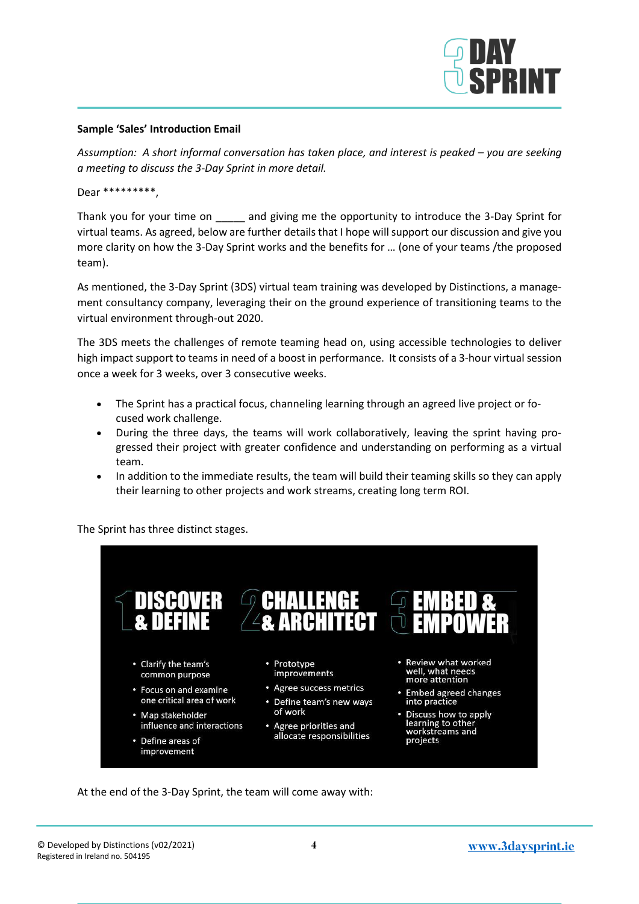

#### **Sample 'Sales' Introduction Email**

*Assumption: A short informal conversation has taken place, and interest is peaked – you are seeking a meeting to discuss the 3-Day Sprint in more detail.*

Dear \*\*\*\*\*\*\*\*\*,

Thank you for your time on and giving me the opportunity to introduce the 3-Day Sprint for virtual teams. As agreed, below are further details that I hope will support our discussion and give you more clarity on how the 3-Day Sprint works and the benefits for … (one of your teams /the proposed team).

As mentioned, the 3-Day Sprint (3DS) virtual team training was developed by Distinctions, a management consultancy company, leveraging their on the ground experience of transitioning teams to the virtual environment through-out 2020.

The 3DS meets the challenges of remote teaming head on, using accessible technologies to deliver high impact support to teams in need of a boost in performance. It consists of a 3-hour virtual session once a week for 3 weeks, over 3 consecutive weeks.

- The Sprint has a practical focus, channeling learning through an agreed live project or focused work challenge.
- During the three days, the teams will work collaboratively, leaving the sprint having progressed their project with greater confidence and understanding on performing as a virtual team.
- In addition to the immediate results, the team will build their teaming skills so they can apply their learning to other projects and work streams, creating long term ROI.

The Sprint has three distinct stages.



At the end of the 3-Day Sprint, the team will come away with: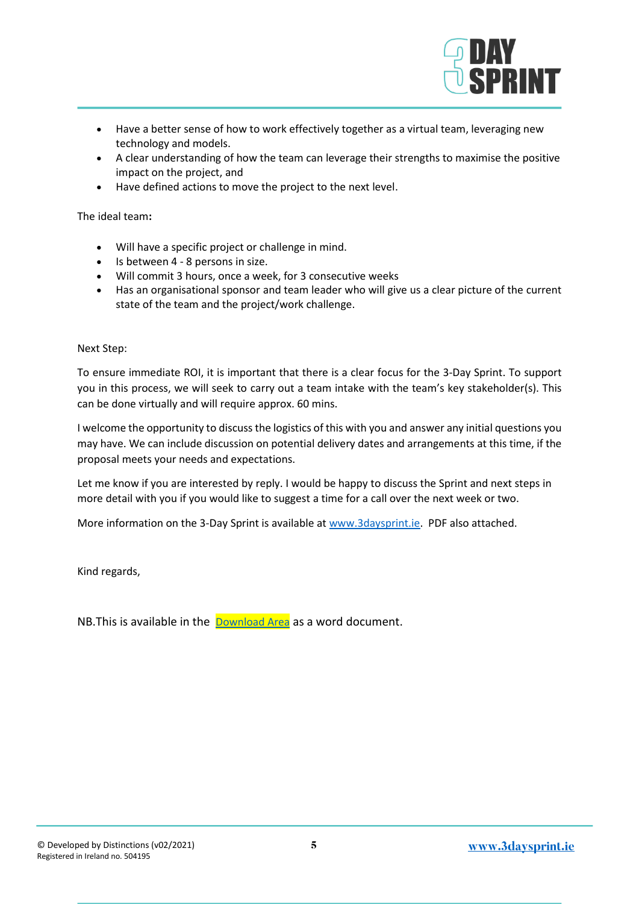- Have a better sense of how to work effectively together as a virtual team, leveraging new technology and models.
- A clear understanding of how the team can leverage their strengths to maximise the positive impact on the project, and
- Have defined actions to move the project to the next level.

The ideal team**:**

- Will have a specific project or challenge in mind.
- Is between 4 8 persons in size.
- Will commit 3 hours, once a week, for 3 consecutive weeks
- Has an organisational sponsor and team leader who will give us a clear picture of the current state of the team and the project/work challenge.

Next Step:

To ensure immediate ROI, it is important that there is a clear focus for the 3-Day Sprint. To support you in this process, we will seek to carry out a team intake with the team's key stakeholder(s). This can be done virtually and will require approx. 60 mins.

I welcome the opportunity to discuss the logistics of this with you and answer any initial questions you may have. We can include discussion on potential delivery dates and arrangements at this time, if the proposal meets your needs and expectations.

Let me know if you are interested by reply. I would be happy to discuss the Sprint and next steps in more detail with you if you would like to suggest a time for a call over the next week or two.

More information on the 3-Day Sprint is available a[t www.3daysprint.ie.](http://www.3daysprint.ie/) PDF also attached.

Kind regards,

NB. This is available in the [Download Area](https://www.3daysprint.ie/sprint-master-resources) as a word document.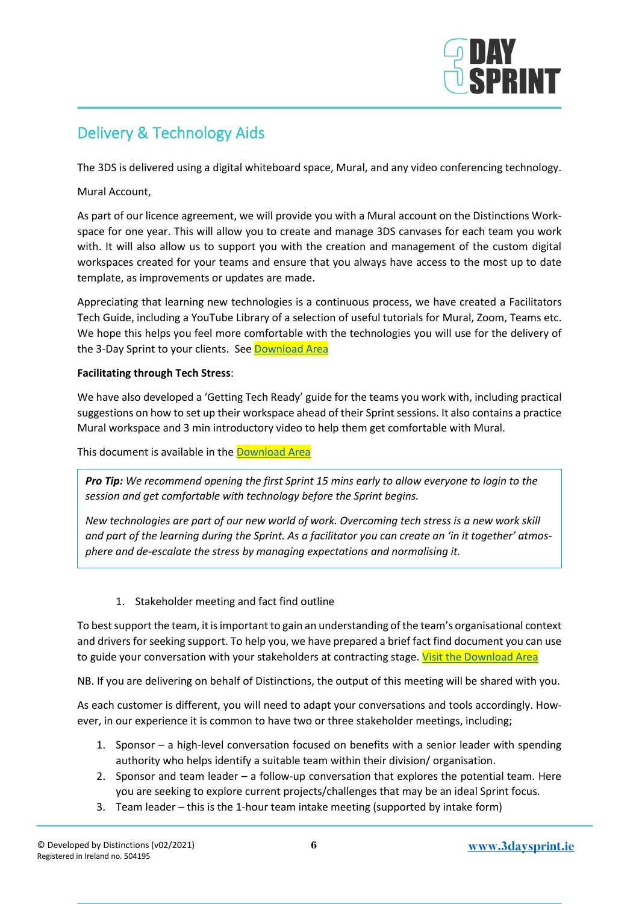

# <span id="page-5-0"></span>Delivery & Technology Aids

The 3DS is delivered using a digital whiteboard space, Mural, and any video conferencing technology.

Mural Account,

As part of our licence agreement, we will provide you with a Mural account on the Distinctions Workspace for one year. This will allow you to create and manage 3DS canvases for each team you work with. It will also allow us to support you with the creation and management of the custom digital workspaces created for your teams and ensure that you always have access to the most up to date template, as improvements or updates are made.

Appreciating that learning new technologies is a continuous process, we have created a Facilitators Tech Guide, including a YouTube Library of a selection of useful tutorials for Mural, Zoom, Teams etc. We hope this helps you feel more comfortable with the technologies you will use for the delivery of the 3-Day Sprint to your clients. See [Download Area](https://www.3daysprint.ie/sprint-master-resources)

#### **Facilitating through Tech Stress**:

We have also developed a 'Getting Tech Ready' guide for the teams you work with, including practical suggestions on how to set up their workspace ahead of their Sprint sessions. It also contains a practice Mural workspace and 3 min introductory video to help them get comfortable with Mural.

This document is available in the [Download Area](https://www.3daysprint.ie/sprint-master-resources)

*Pro Tip: We recommend opening the first Sprint 15 mins early to allow everyone to login to the session and get comfortable with technology before the Sprint begins.* 

*New technologies are part of our new world of work. Overcoming tech stress is a new work skill and part of the learning during the Sprint. As a facilitator you can create an 'in it together' atmosphere and de-escalate the stress by managing expectations and normalising it.* 

1. Stakeholder meeting and fact find outline

To best support the team, it is important to gain an understanding of the team's organisational context and drivers for seeking support. To help you, we have prepared a brief fact find document you can use to guide your conversation with your stakeholders at contracting stage[. Visit the Download Area](https://www.3daysprint.ie/sprint-master-resources)

NB. If you are delivering on behalf of Distinctions, the output of this meeting will be shared with you.

As each customer is different, you will need to adapt your conversations and tools accordingly. However, in our experience it is common to have two or three stakeholder meetings, including;

- 1. Sponsor a high-level conversation focused on benefits with a senior leader with spending authority who helps identify a suitable team within their division/ organisation.
- 2. Sponsor and team leader a follow-up conversation that explores the potential team. Here you are seeking to explore current projects/challenges that may be an ideal Sprint focus.
- 3. Team leader this is the 1-hour team intake meeting (supported by intake form)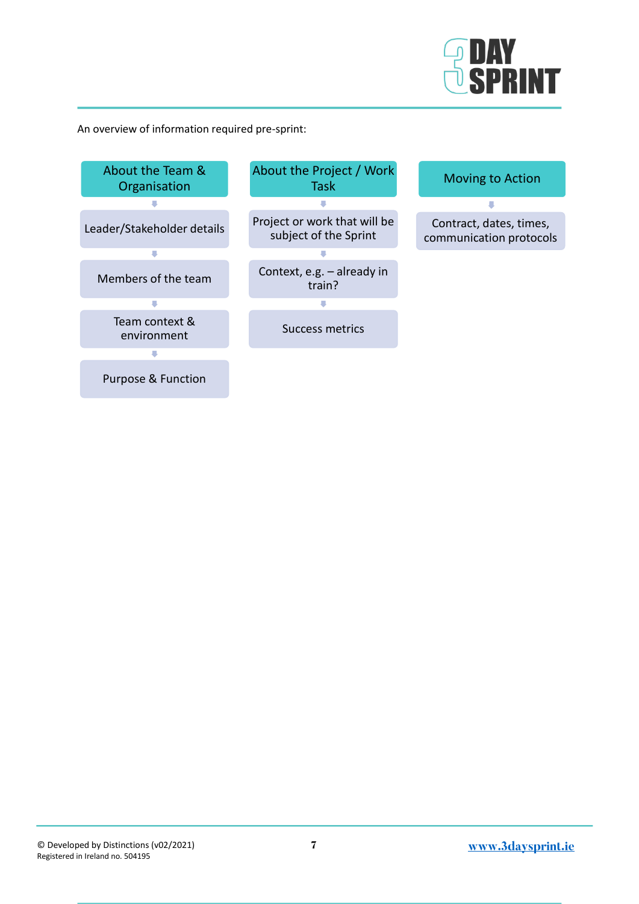

An overview of information required pre-sprint:

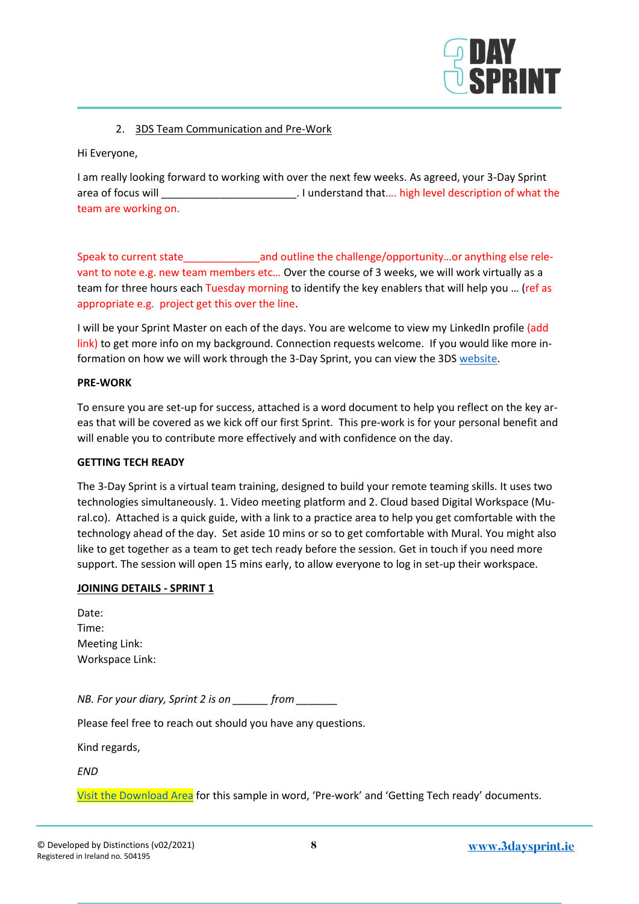

#### 2. 3DS Team Communication and Pre-Work

Hi Everyone,

I am really looking forward to working with over the next few weeks. As agreed, your 3-Day Sprint area of focus will **EXECUS WILL CONSUMED** 2.1 understand that .... high level description of what the team are working on.

Speak to current state and outline the challenge/opportunity…or anything else relevant to note e.g. new team members etc... Over the course of 3 weeks, we will work virtually as a team for three hours each Tuesday morning to identify the key enablers that will help you … (ref as appropriate e.g. project get this over the line.

I will be your Sprint Master on each of the days. You are welcome to view my LinkedIn profile (add link) to get more info on my background. Connection requests welcome. If you would like more information on how we will work through the 3-Day Sprint, you can view the 3DS [website.](http://www.3daysprint.ie/)

#### **PRE-WORK**

To ensure you are set-up for success, attached is a word document to help you reflect on the key areas that will be covered as we kick off our first Sprint. This pre-work is for your personal benefit and will enable you to contribute more effectively and with confidence on the day.

#### **GETTING TECH READY**

The 3-Day Sprint is a virtual team training, designed to build your remote teaming skills. It uses two technologies simultaneously. 1. Video meeting platform and 2. Cloud based Digital Workspace (Mural.co). Attached is a quick guide, with a link to a practice area to help you get comfortable with the technology ahead of the day. Set aside 10 mins or so to get comfortable with Mural. You might also like to get together as a team to get tech ready before the session. Get in touch if you need more support. The session will open 15 mins early, to allow everyone to log in set-up their workspace.

#### **JOINING DETAILS - SPRINT 1**

| Date:           |
|-----------------|
| Time:           |
| Meeting Link:   |
| Workspace Link: |

*NB. For your diary, Sprint 2 is on \_\_\_\_\_\_ from \_\_\_\_\_\_\_*

Please feel free to reach out should you have any questions.

Kind regards,

*END*

[Visit the Download Area](https://www.3daysprint.ie/sprint-master-resources) for this sample in word, 'Pre-work' and 'Getting Tech ready' documents.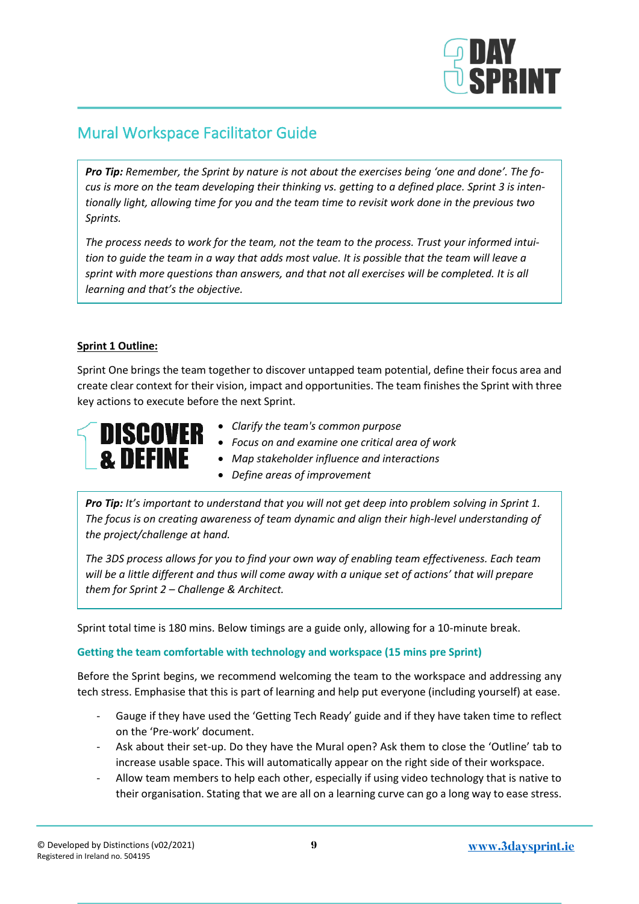

# <span id="page-8-0"></span>Mural Workspace Facilitator Guide

*Pro Tip: Remember, the Sprint by nature is not about the exercises being 'one and done'. The focus is more on the team developing their thinking vs. getting to a defined place. Sprint 3 is intentionally light, allowing time for you and the team time to revisit work done in the previous two Sprints.* 

*The process needs to work for the team, not the team to the process. Trust your informed intuition to guide the team in a way that adds most value. It is possible that the team will leave a sprint with more questions than answers, and that not all exercises will be completed. It is all learning and that's the objective.*

#### **Sprint 1 Outline:**

Sprint One brings the team together to discover untapped team potential, define their focus area and create clear context for their vision, impact and opportunities. The team finishes the Sprint with three key actions to execute before the next Sprint.



- *Clarify the team's common purpose*
- *Focus on and examine one critical area of work*
- *Map stakeholder influence and interactions*
- *Define areas of improvement*

*Pro Tip: It's important to understand that you will not get deep into problem solving in Sprint 1. The focus is on creating awareness of team dynamic and align their high-level understanding of the project/challenge at hand.* 

*The 3DS process allows for you to find your own way of enabling team effectiveness. Each team will be a little different and thus will come away with a unique set of actions' that will prepare them for Sprint 2 – Challenge & Architect.* 

Sprint total time is 180 mins. Below timings are a guide only, allowing for a 10-minute break.

#### **Getting the team comfortable with technology and workspace (15 mins pre Sprint)**

Before the Sprint begins, we recommend welcoming the team to the workspace and addressing any tech stress. Emphasise that this is part of learning and help put everyone (including yourself) at ease.

- Gauge if they have used the 'Getting Tech Ready' guide and if they have taken time to reflect on the 'Pre-work' document.
- Ask about their set-up. Do they have the Mural open? Ask them to close the 'Outline' tab to increase usable space. This will automatically appear on the right side of their workspace.
- Allow team members to help each other, especially if using video technology that is native to their organisation. Stating that we are all on a learning curve can go a long way to ease stress.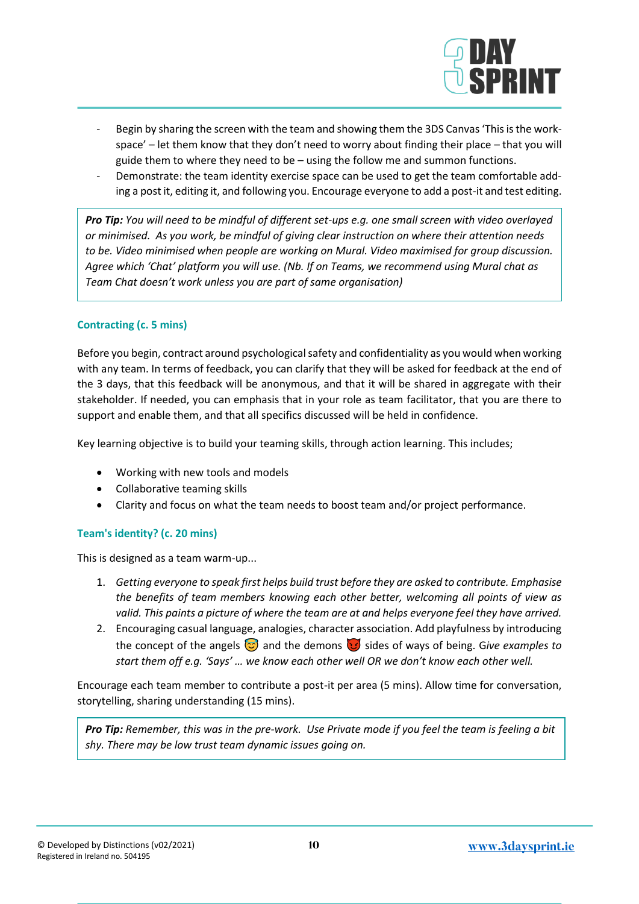

- Begin by sharing the screen with the team and showing them the 3DS Canvas 'This is the workspace' – let them know that they don't need to worry about finding their place – that you will guide them to where they need to be – using the follow me and summon functions.
- Demonstrate: the team identity exercise space can be used to get the team comfortable adding a post it, editing it, and following you. Encourage everyone to add a post-it and test editing.

*Pro Tip: You will need to be mindful of different set-ups e.g. one small screen with video overlayed or minimised. As you work, be mindful of giving clear instruction on where their attention needs to be. Video minimised when people are working on Mural. Video maximised for group discussion. Agree which 'Chat' platform you will use. (Nb. If on Teams, we recommend using Mural chat as Team Chat doesn't work unless you are part of same organisation)*

#### **Contracting (c. 5 mins)**

Before you begin, contract around psychological safety and confidentiality as you would when working with any team. In terms of feedback, you can clarify that they will be asked for feedback at the end of the 3 days, that this feedback will be anonymous, and that it will be shared in aggregate with their stakeholder. If needed, you can emphasis that in your role as team facilitator, that you are there to support and enable them, and that all specifics discussed will be held in confidence.

Key learning objective is to build your teaming skills, through action learning. This includes;

- Working with new tools and models
- Collaborative teaming skills
- Clarity and focus on what the team needs to boost team and/or project performance.

#### **Team's identity? (c. 20 mins)**

This is designed as a team warm-up...

- 1. *Getting everyone to speak first helps build trust before they are asked to contribute. Emphasise the benefits of team members knowing each other better, welcoming all points of view as valid. This paints a picture of where the team are at and helps everyone feel they have arrived.*
- 2. Encouraging casual language, analogies, character association. Add playfulness by introducing the concept of the angels  $\odot$  and the demons  $\odot$  sides of ways of being. Give examples to *start them off e.g. 'Says' … we know each other well OR we don't know each other well.*

Encourage each team member to contribute a post-it per area (5 mins). Allow time for conversation, storytelling, sharing understanding (15 mins).

*Pro Tip: Remember, this was in the pre-work. Use Private mode if you feel the team is feeling a bit shy. There may be low trust team dynamic issues going on.*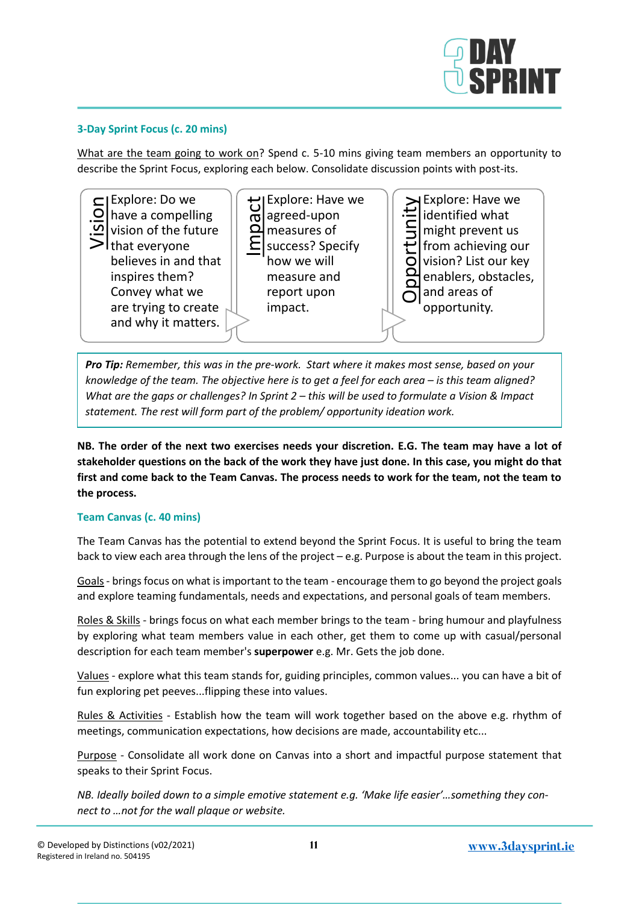

#### **3-Day Sprint Focus (c. 20 mins)**

What are the team going to work on? Spend c. 5-10 mins giving team members an opportunity to describe the Sprint Focus, exploring each below. Consolidate discussion points with post-its.



*Pro Tip: Remember, this was in the pre-work. Start where it makes most sense, based on your knowledge of the team. The objective here is to get a feel for each area – is this team aligned? What are the gaps or challenges? In Sprint 2 – this will be used to formulate a Vision & Impact statement. The rest will form part of the problem/ opportunity ideation work.* 

**NB. The order of the next two exercises needs your discretion. E.G. The team may have a lot of stakeholder questions on the back of the work they have just done. In this case, you might do that first and come back to the Team Canvas. The process needs to work for the team, not the team to the process.** 

#### **Team Canvas (c. 40 mins)**

The Team Canvas has the potential to extend beyond the Sprint Focus. It is useful to bring the team back to view each area through the lens of the project – e.g. Purpose is about the team in this project.

Goals- brings focus on what is important to the team - encourage them to go beyond the project goals and explore teaming fundamentals, needs and expectations, and personal goals of team members.

Roles & Skills - brings focus on what each member brings to the team - bring humour and playfulness by exploring what team members value in each other, get them to come up with casual/personal description for each team member's **superpower** e.g. Mr. Gets the job done.

Values - explore what this team stands for, guiding principles, common values... you can have a bit of fun exploring pet peeves...flipping these into values.

Rules & Activities - Establish how the team will work together based on the above e.g. rhythm of meetings, communication expectations, how decisions are made, accountability etc...

Purpose - Consolidate all work done on Canvas into a short and impactful purpose statement that speaks to their Sprint Focus.

*NB. Ideally boiled down to a simple emotive statement e.g. 'Make life easier'…something they con-*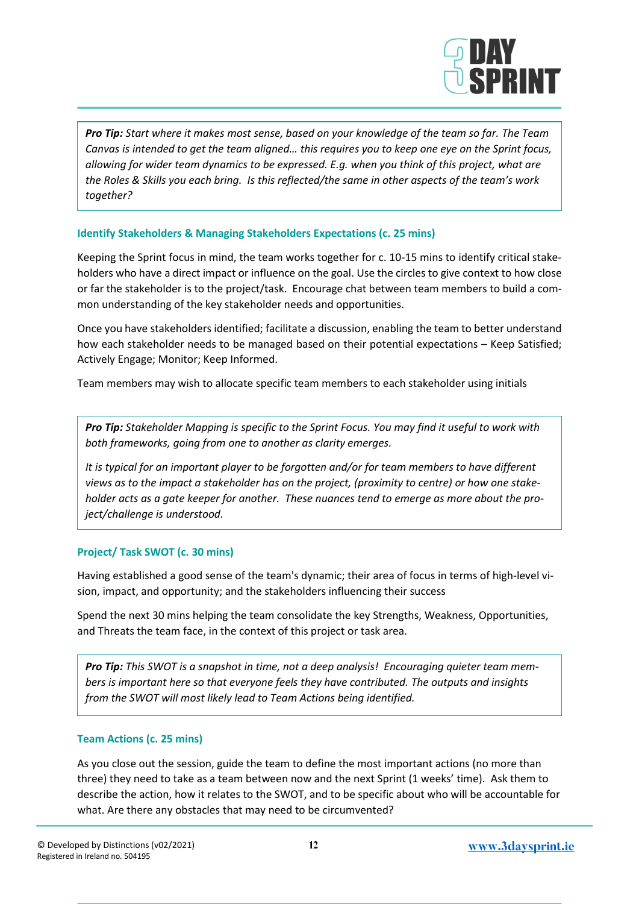

*Pro Tip: Start where it makes most sense, based on your knowledge of the team so far. The Team Canvas is intended to get the team aligned… this requires you to keep one eye on the Sprint focus, allowing for wider team dynamics to be expressed. E.g. when you think of this project, what are the Roles & Skills you each bring. Is this reflected/the same in other aspects of the team's work together?* 

#### **Identify Stakeholders & Managing Stakeholders Expectations (c. 25 mins)**

Keeping the Sprint focus in mind, the team works together for c. 10-15 mins to identify critical stakeholders who have a direct impact or influence on the goal. Use the circles to give context to how close or far the stakeholder is to the project/task. Encourage chat between team members to build a common understanding of the key stakeholder needs and opportunities.

Once you have stakeholders identified; facilitate a discussion, enabling the team to better understand how each stakeholder needs to be managed based on their potential expectations – Keep Satisfied; Actively Engage; Monitor; Keep Informed.

Team members may wish to allocate specific team members to each stakeholder using initials

*Pro Tip: Stakeholder Mapping is specific to the Sprint Focus. You may find it useful to work with both frameworks, going from one to another as clarity emerges.* 

*It is typical for an important player to be forgotten and/or for team members to have different views as to the impact a stakeholder has on the project, (proximity to centre) or how one stakeholder acts as a gate keeper for another. These nuances tend to emerge as more about the project/challenge is understood.* 

#### **Project/ Task SWOT (c. 30 mins)**

Having established a good sense of the team's dynamic; their area of focus in terms of high-level vision, impact, and opportunity; and the stakeholders influencing their success

Spend the next 30 mins helping the team consolidate the key Strengths, Weakness, Opportunities, and Threats the team face, in the context of this project or task area.

*Pro Tip: This SWOT is a snapshot in time, not a deep analysis! Encouraging quieter team members is important here so that everyone feels they have contributed. The outputs and insights from the SWOT will most likely lead to Team Actions being identified.* 

#### **Team Actions (c. 25 mins)**

As you close out the session, guide the team to define the most important actions (no more than three) they need to take as a team between now and the next Sprint (1 weeks' time). Ask them to describe the action, how it relates to the SWOT, and to be specific about who will be accountable for what. Are there any obstacles that may need to be circumvented?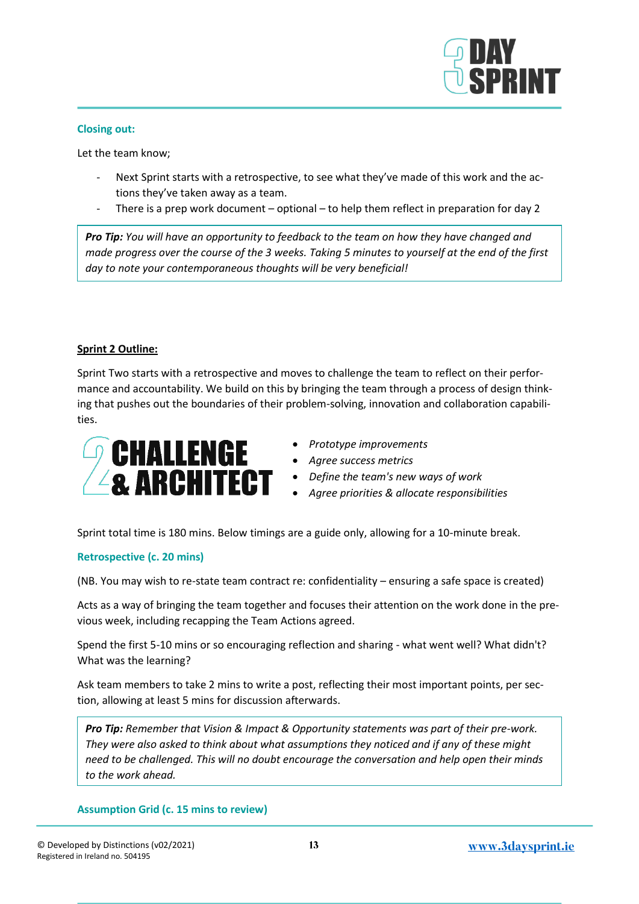

#### **Closing out:**

Let the team know;

- Next Sprint starts with a retrospective, to see what they've made of this work and the actions they've taken away as a team.
- There is a prep work document optional to help them reflect in preparation for day 2

*Pro Tip: You will have an opportunity to feedback to the team on how they have changed and made progress over the course of the 3 weeks. Taking 5 minutes to yourself at the end of the first day to note your contemporaneous thoughts will be very beneficial!*

#### **Sprint 2 Outline:**

Sprint Two starts with a retrospective and moves to challenge the team to reflect on their performance and accountability. We build on this by bringing the team through a process of design thinking that pushes out the boundaries of their problem-solving, innovation and collaboration capabilities.



- *Prototype improvements*
- *Agree success metrics*
- *Define the team's new ways of work*
- *Agree priorities & allocate responsibilities*

Sprint total time is 180 mins. Below timings are a guide only, allowing for a 10-minute break.

#### **Retrospective (c. 20 mins)**

(NB. You may wish to re-state team contract re: confidentiality – ensuring a safe space is created)

Acts as a way of bringing the team together and focuses their attention on the work done in the previous week, including recapping the Team Actions agreed.

Spend the first 5-10 mins or so encouraging reflection and sharing - what went well? What didn't? What was the learning?

Ask team members to take 2 mins to write a post, reflecting their most important points, per section, allowing at least 5 mins for discussion afterwards.

*Pro Tip: Remember that Vision & Impact & Opportunity statements was part of their pre-work. They were also asked to think about what assumptions they noticed and if any of these might need to be challenged. This will no doubt encourage the conversation and help open their minds to the work ahead.* 

#### **Assumption Grid (c. 15 mins to review)**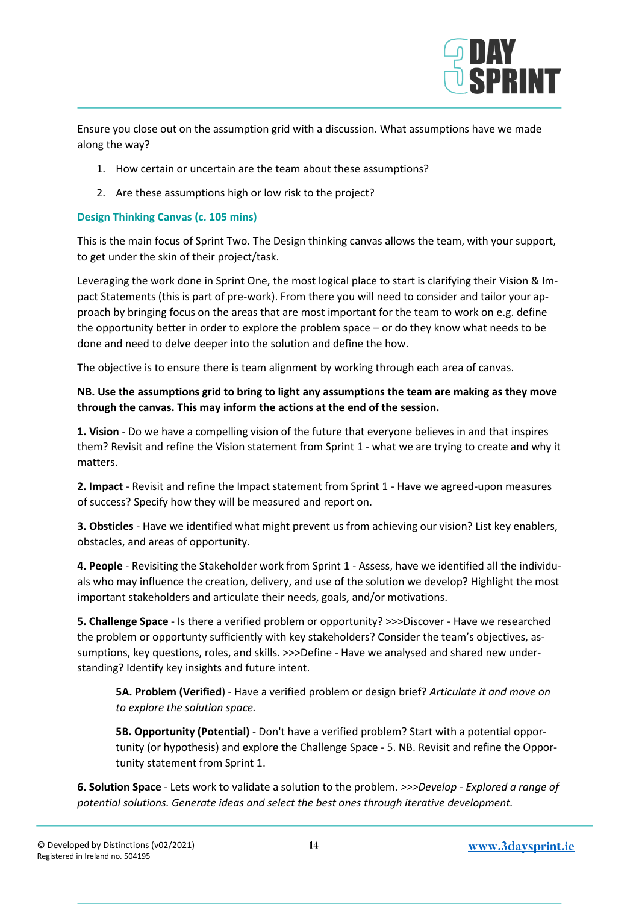

Ensure you close out on the assumption grid with a discussion. What assumptions have we made along the way?

- 1. How certain or uncertain are the team about these assumptions?
- 2. Are these assumptions high or low risk to the project?

#### **Design Thinking Canvas (c. 105 mins)**

This is the main focus of Sprint Two. The Design thinking canvas allows the team, with your support, to get under the skin of their project/task.

Leveraging the work done in Sprint One, the most logical place to start is clarifying their Vision & Impact Statements (this is part of pre-work). From there you will need to consider and tailor your approach by bringing focus on the areas that are most important for the team to work on e.g. define the opportunity better in order to explore the problem space – or do they know what needs to be done and need to delve deeper into the solution and define the how.

The objective is to ensure there is team alignment by working through each area of canvas.

#### **NB. Use the assumptions grid to bring to light any assumptions the team are making as they move through the canvas. This may inform the actions at the end of the session.**

**1. Vision** - Do we have a compelling vision of the future that everyone believes in and that inspires them? Revisit and refine the Vision statement from Sprint 1 - what we are trying to create and why it matters.

**2. Impact** - Revisit and refine the Impact statement from Sprint 1 - Have we agreed-upon measures of success? Specify how they will be measured and report on.

**3. Obsticles** - Have we identified what might prevent us from achieving our vision? List key enablers, obstacles, and areas of opportunity.

**4. People** - Revisiting the Stakeholder work from Sprint 1 - Assess, have we identified all the individuals who may influence the creation, delivery, and use of the solution we develop? Highlight the most important stakeholders and articulate their needs, goals, and/or motivations.

**5. Challenge Space** - Is there a verified problem or opportunity? >>>Discover - Have we researched the problem or opportunty sufficiently with key stakeholders? Consider the team's objectives, assumptions, key questions, roles, and skills. >>>Define - Have we analysed and shared new understanding? Identify key insights and future intent.

**5A. Problem (Verified**) - Have a verified problem or design brief? *Articulate it and move on to explore the solution space.*

**5B. Opportunity (Potential)** - Don't have a verified problem? Start with a potential opportunity (or hypothesis) and explore the Challenge Space - 5. NB. Revisit and refine the Opportunity statement from Sprint 1.

**6. Solution Space** - Lets work to validate a solution to the problem. *>>>Develop - Explored a range of potential solutions. Generate ideas and select the best ones through iterative development.*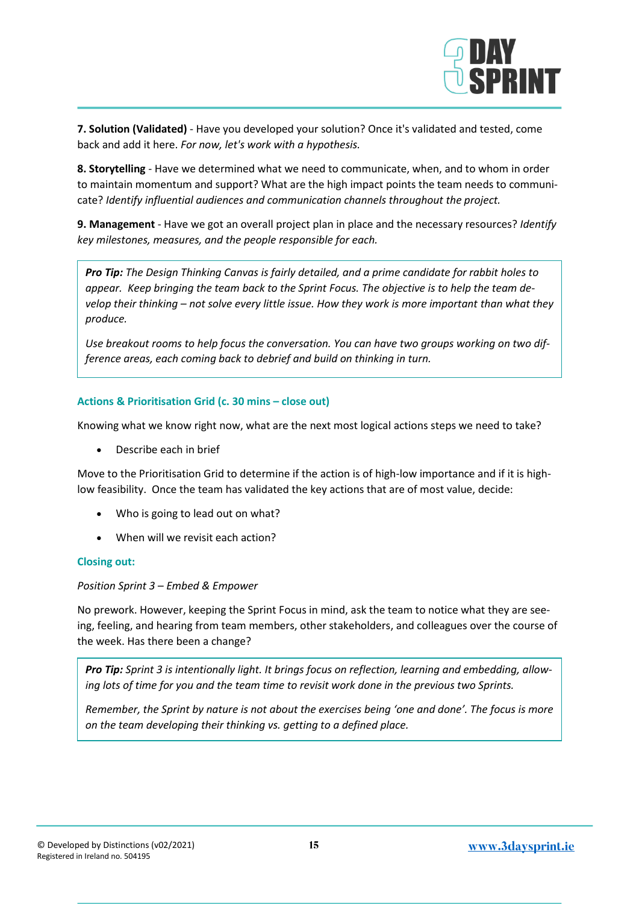

**7. Solution (Validated)** - Have you developed your solution? Once it's validated and tested, come back and add it here. *For now, let's work with a hypothesis.*

**8. Storytelling** - Have we determined what we need to communicate, when, and to whom in order to maintain momentum and support? What are the high impact points the team needs to communicate? *Identify influential audiences and communication channels throughout the project.*

**9. Management** - Have we got an overall project plan in place and the necessary resources? *Identify key milestones, measures, and the people responsible for each.*

*Pro Tip: The Design Thinking Canvas is fairly detailed, and a prime candidate for rabbit holes to appear. Keep bringing the team back to the Sprint Focus. The objective is to help the team develop their thinking – not solve every little issue. How they work is more important than what they produce.* 

*Use breakout rooms to help focus the conversation. You can have two groups working on two difference areas, each coming back to debrief and build on thinking in turn.* 

#### **Actions & Prioritisation Grid (c. 30 mins – close out)**

Knowing what we know right now, what are the next most logical actions steps we need to take?

• Describe each in brief

Move to the Prioritisation Grid to determine if the action is of high-low importance and if it is highlow feasibility. Once the team has validated the key actions that are of most value, decide:

- Who is going to lead out on what?
- When will we revisit each action?

#### **Closing out:**

*Position Sprint 3 – Embed & Empower* 

No prework. However, keeping the Sprint Focus in mind, ask the team to notice what they are seeing, feeling, and hearing from team members, other stakeholders, and colleagues over the course of the week. Has there been a change?

*Pro Tip: Sprint 3 is intentionally light. It brings focus on reflection, learning and embedding, allowing lots of time for you and the team time to revisit work done in the previous two Sprints.* 

*Remember, the Sprint by nature is not about the exercises being 'one and done'. The focus is more on the team developing their thinking vs. getting to a defined place.*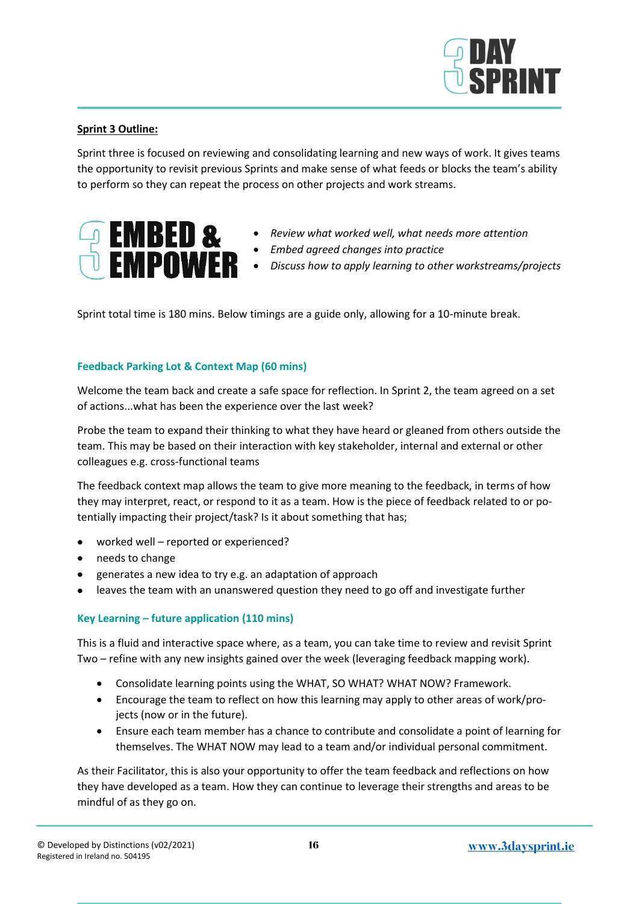

#### **Sprint 3 Outline:**

Sprint three is focused on reviewing and consolidating learning and new ways of work. It gives teams the opportunity to revisit previous Sprints and make sense of what feeds or blocks the team's ability to perform so they can repeat the process on other projects and work streams.



- *Review what worked well, what needs more attention*
- *Embed agreed changes into practice*
- *Discuss how to apply learning to other workstreams/projects*

Sprint total time is 180 mins. Below timings are a guide only, allowing for a 10-minute break.

#### **Feedback Parking Lot & Context Map (60 mins)**

Welcome the team back and create a safe space for reflection. In Sprint 2, the team agreed on a set of actions...what has been the experience over the last week?

Probe the team to expand their thinking to what they have heard or gleaned from others outside the team. This may be based on their interaction with key stakeholder, internal and external or other colleagues e.g. cross-functional teams

The feedback context map allows the team to give more meaning to the feedback, in terms of how they may interpret, react, or respond to it as a team. How is the piece of feedback related to or potentially impacting their project/task? Is it about something that has;

- worked well reported or experienced?
- needs to change
- generates a new idea to try e.g. an adaptation of approach
- leaves the team with an unanswered question they need to go off and investigate further

#### **Key Learning – future application (110 mins)**

This is a fluid and interactive space where, as a team, you can take time to review and revisit Sprint Two – refine with any new insights gained over the week (leveraging feedback mapping work).

- Consolidate learning points using the WHAT, SO WHAT? WHAT NOW? Framework.
- Encourage the team to reflect on how this learning may apply to other areas of work/projects (now or in the future).
- Ensure each team member has a chance to contribute and consolidate a point of learning for themselves. The WHAT NOW may lead to a team and/or individual personal commitment.

As their Facilitator, this is also your opportunity to offer the team feedback and reflections on how they have developed as a team. How they can continue to leverage their strengths and areas to be mindful of as they go on.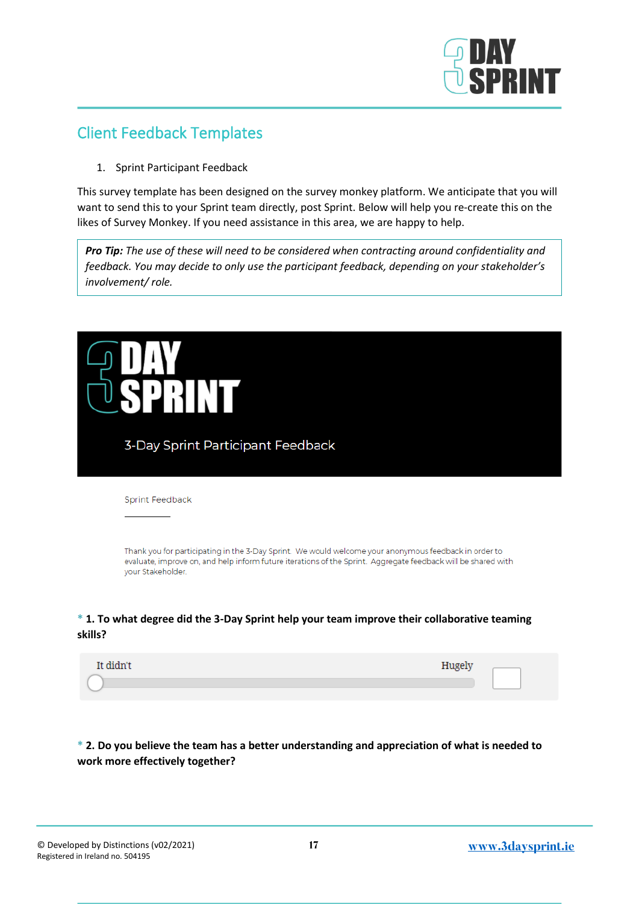

## <span id="page-16-0"></span>Client Feedback Templates

1. Sprint Participant Feedback

This survey template has been designed on the survey monkey platform. We anticipate that you will want to send this to your Sprint team directly, post Sprint. Below will help you re-create this on the likes of Survey Monkey. If you need assistance in this area, we are happy to help.

*Pro Tip: The use of these will need to be considered when contracting around confidentiality and feedback. You may decide to only use the participant feedback, depending on your stakeholder's involvement/ role.* 



#### **\* 1. To what degree did the 3-Day Sprint help your team improve their collaborative teaming skills?**

| It didn't | Hugely |  |
|-----------|--------|--|
|           |        |  |

#### **\* 2. Do you believe the team has a better understanding and appreciation of what is needed to work more effectively together?**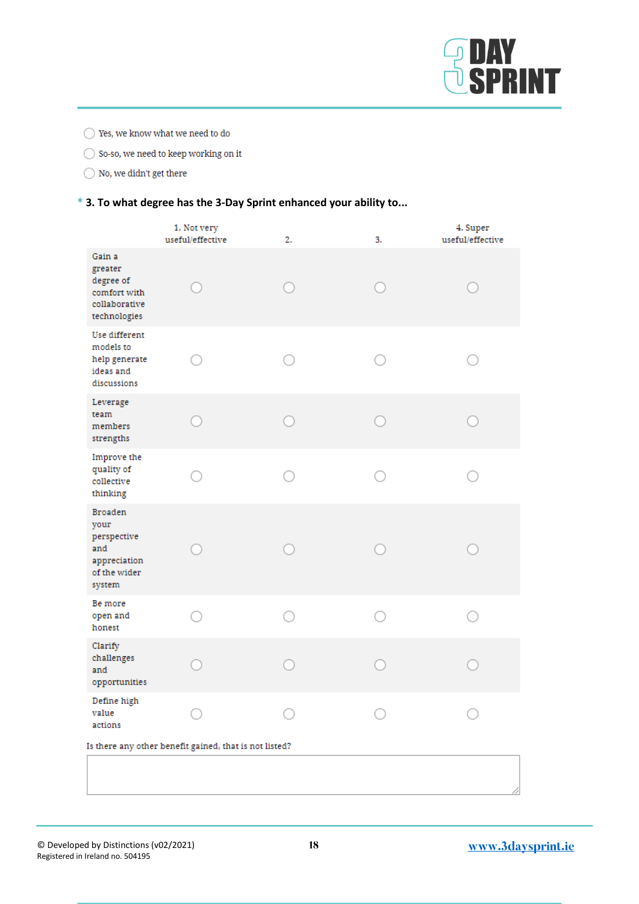

 $\bigcirc$  Yes, we know what we need to do

 $\bigcirc$  So-so, we need to keep working on it

 $\bigcirc$  No, we didn't get there

#### **\* 3. To what degree has the 3-Day Sprint enhanced your ability to...**

|                                                                                        | 1. Not very<br>useful/effective                        | 2. | 3. | 4. Super<br>useful/effective |
|----------------------------------------------------------------------------------------|--------------------------------------------------------|----|----|------------------------------|
| Gain a<br>greater<br>degree of<br>comfort with<br>collaborative<br>technologies        |                                                        |    |    |                              |
| Use different<br>models to<br>help generate<br>ideas and<br>discussions                |                                                        |    |    |                              |
| Leverage<br>team<br>members<br>strengths                                               |                                                        |    |    |                              |
| Improve the<br>quality of<br>collective<br>thinking                                    |                                                        |    |    |                              |
| <b>Broaden</b><br>your<br>perspective<br>and<br>appreciation<br>of the wider<br>system |                                                        |    |    |                              |
| Be more<br>open and<br>honest                                                          |                                                        |    |    |                              |
| Clarify<br>challenges<br>and<br>opportunities                                          |                                                        |    |    |                              |
| Define high<br>value<br>actions                                                        |                                                        |    |    |                              |
|                                                                                        | Is there any other benefit gained, that is not listed? |    |    |                              |
|                                                                                        |                                                        |    |    |                              |